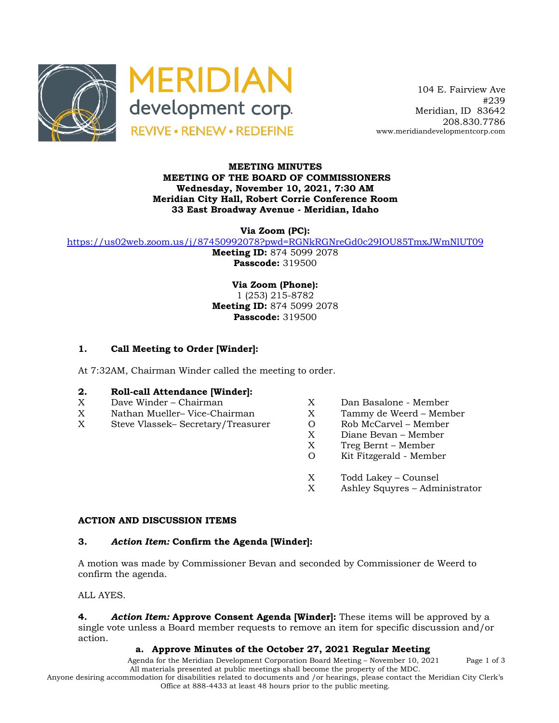



 104 E. Fairview Ave #239 Meridian, ID 83642 208.830.7786 www.meridiandevelopmentcorp.com

### **MEETING MINUTES MEETING OF THE BOARD OF COMMISSIONERS Wednesday, November 10, 2021, 7:30 AM Meridian City Hall, Robert Corrie Conference Room 33 East Broadway Avenue - Meridian, Idaho**

**Via Zoom (PC):**

https://us02web.zoom.us/j/87450992078?pwd=RGNkRGNreGd0c29IOU85TmxJWmNlUT09

**Meeting ID:** 874 5099 2078 **Passcode:** 319500

**Via Zoom (Phone):** 1 (253) 215-8782 **Meeting ID:** 874 5099 2078 **Passcode:** 319500

# **1. Call Meeting to Order [Winder]:**

At 7:32AM, Chairman Winder called the meeting to order.

# **2. Roll-call Attendance [Winder]:**

- X Dave Winder Chairman X Dan Basalone Member
- X Nathan Mueller– Vice-Chairman X Tammy de Weerd Member
- X Steve Vlassek– Secretary/Treasurer O Rob McCarvel Member
- 
- 
- - X Diane Bevan Member
	- X Treg Bernt Member
	- O Kit Fitzgerald Member
	- X Todd Lakey Counsel
	- X Ashley Squyres Administrator

#### **ACTION AND DISCUSSION ITEMS**

#### **3.** *Action Item:* **Confirm the Agenda [Winder]:**

A motion was made by Commissioner Bevan and seconded by Commissioner de Weerd to confirm the agenda.

ALL AYES.

**4.** *Action Item:* **Approve Consent Agenda [Winder]:** These items will be approved by a single vote unless a Board member requests to remove an item for specific discussion and/or action.

# **a. Approve Minutes of the October 27, 2021 Regular Meeting**

Agenda for the Meridian Development Corporation Board Meeting – November 10, 2021 Page 1 of 3 All materials presented at public meetings shall become the property of the MDC.

Anyone desiring accommodation for disabilities related to documents and /or hearings, please contact the Meridian City Clerk's Office at 888-4433 at least 48 hours prior to the public meeting.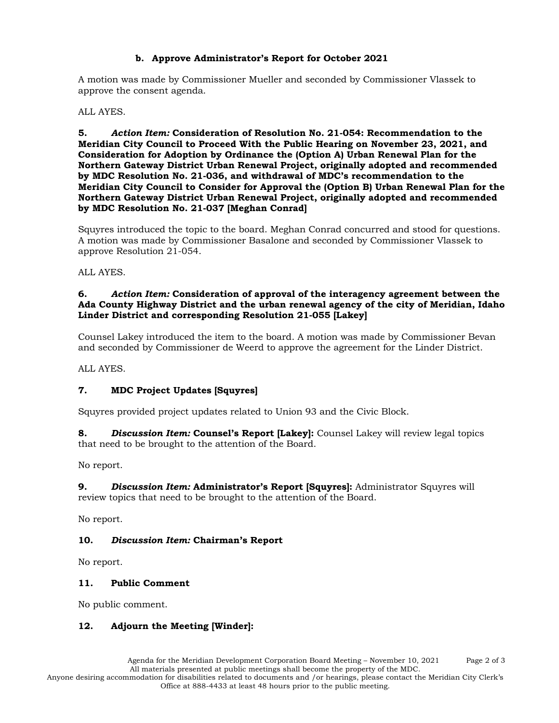# **b. Approve Administrator's Report for October 2021**

A motion was made by Commissioner Mueller and seconded by Commissioner Vlassek to approve the consent agenda.

### ALL AYES.

**5.** *Action Item:* **Consideration of Resolution No. 21-054: Recommendation to the Meridian City Council to Proceed With the Public Hearing on November 23, 2021, and Consideration for Adoption by Ordinance the (Option A) Urban Renewal Plan for the Northern Gateway District Urban Renewal Project, originally adopted and recommended by MDC Resolution No. 21-036, and withdrawal of MDC's recommendation to the Meridian City Council to Consider for Approval the (Option B) Urban Renewal Plan for the Northern Gateway District Urban Renewal Project, originally adopted and recommended by MDC Resolution No. 21-037 [Meghan Conrad]**

Squyres introduced the topic to the board. Meghan Conrad concurred and stood for questions. A motion was made by Commissioner Basalone and seconded by Commissioner Vlassek to approve Resolution 21-054.

### ALL AYES.

### **6.** *Action Item:* **Consideration of approval of the interagency agreement between the Ada County Highway District and the urban renewal agency of the city of Meridian, Idaho Linder District and corresponding Resolution 21-055 [Lakey]**

Counsel Lakey introduced the item to the board. A motion was made by Commissioner Bevan and seconded by Commissioner de Weerd to approve the agreement for the Linder District.

ALL AYES.

# **7. MDC Project Updates [Squyres]**

Squyres provided project updates related to Union 93 and the Civic Block.

**8.** *Discussion Item:* **Counsel's Report [Lakey]:** Counsel Lakey will review legal topics that need to be brought to the attention of the Board.

No report.

**9.** *Discussion Item:* **Administrator's Report [Squyres]:** Administrator Squyres will review topics that need to be brought to the attention of the Board.

No report.

# **10.** *Discussion Item:* **Chairman's Report**

No report.

# **11. Public Comment**

No public comment.

# **12. Adjourn the Meeting [Winder]:**

Anyone desiring accommodation for disabilities related to documents and /or hearings, please contact the Meridian City Clerk's Office at 888-4433 at least 48 hours prior to the public meeting.